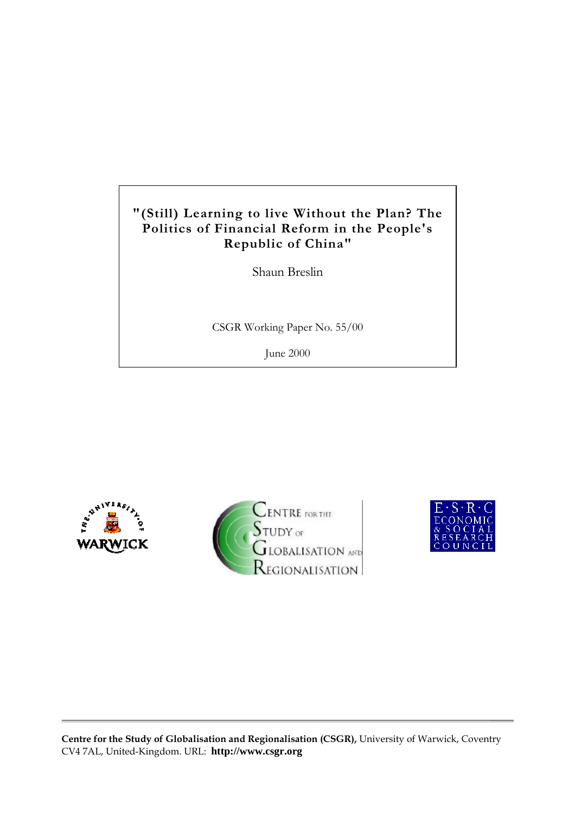## **"(Still) Learning to live Without the Plan? The Politics of Financial Reform in the People's Republic of China"**

Shaun Breslin

CSGR Working Paper No. 55/00

June 2000







**Centre for the Study of Globalisation and Regionalisation (CSGR),** University of Warwick, Coventry CV4 7AL, United-Kingdom. URL: **http://www.csgr.org**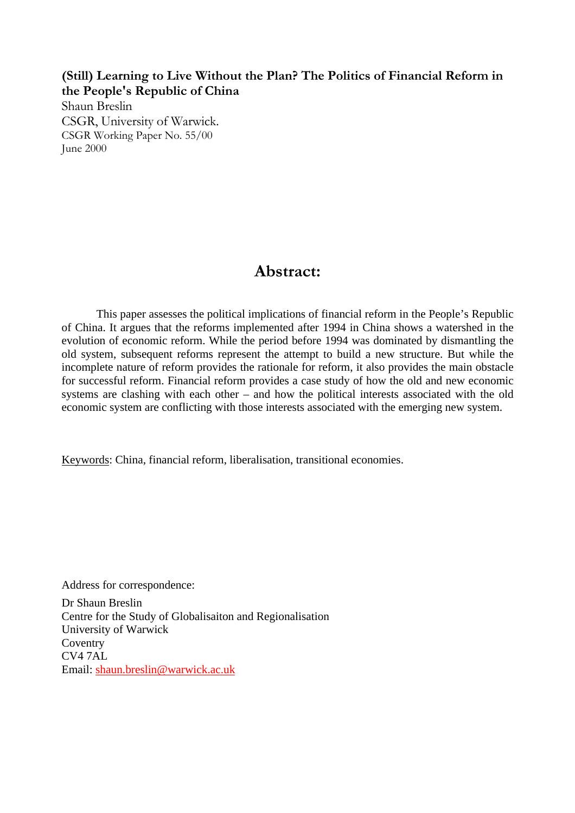## **(Still) Learning to Live Without the Plan? The Politics of Financial Reform in the People's Republic of China**

Shaun Breslin CSGR, University of Warwick. CSGR Working Paper No. 55/00 June 2000

# **Abstract:**

This paper assesses the political implications of financial reform in the People's Republic of China. It argues that the reforms implemented after 1994 in China shows a watershed in the evolution of economic reform. While the period before 1994 was dominated by dismantling the old system, subsequent reforms represent the attempt to build a new structure. But while the incomplete nature of reform provides the rationale for reform, it also provides the main obstacle for successful reform. Financial reform provides a case study of how the old and new economic systems are clashing with each other – and how the political interests associated with the old economic system are conflicting with those interests associated with the emerging new system.

Keywords: China, financial reform, liberalisation, transitional economies.

Address for correspondence:

Dr Shaun Breslin Centre for the Study of Globalisaiton and Regionalisation University of Warwick **Coventry** CV4 7AL Email: shaun.breslin@warwick.ac.uk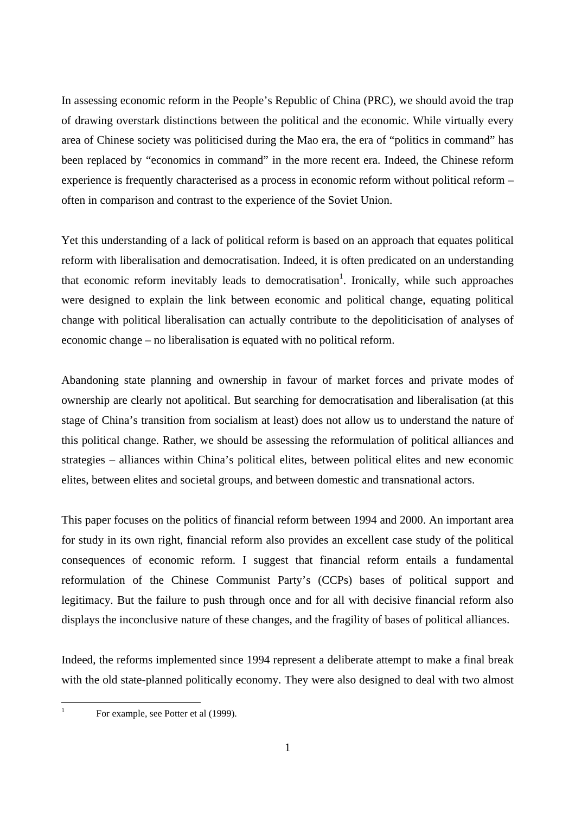In assessing economic reform in the People's Republic of China (PRC), we should avoid the trap of drawing overstark distinctions between the political and the economic. While virtually every area of Chinese society was politicised during the Mao era, the era of "politics in command" has been replaced by "economics in command" in the more recent era. Indeed, the Chinese reform experience is frequently characterised as a process in economic reform without political reform – often in comparison and contrast to the experience of the Soviet Union.

Yet this understanding of a lack of political reform is based on an approach that equates political reform with liberalisation and democratisation. Indeed, it is often predicated on an understanding that economic reform inevitably leads to democratisation<sup>1</sup>. Ironically, while such approaches were designed to explain the link between economic and political change, equating political change with political liberalisation can actually contribute to the depoliticisation of analyses of economic change – no liberalisation is equated with no political reform.

Abandoning state planning and ownership in favour of market forces and private modes of ownership are clearly not apolitical. But searching for democratisation and liberalisation (at this stage of China's transition from socialism at least) does not allow us to understand the nature of this political change. Rather, we should be assessing the reformulation of political alliances and strategies – alliances within China's political elites, between political elites and new economic elites, between elites and societal groups, and between domestic and transnational actors.

This paper focuses on the politics of financial reform between 1994 and 2000. An important area for study in its own right, financial reform also provides an excellent case study of the political consequences of economic reform. I suggest that financial reform entails a fundamental reformulation of the Chinese Communist Party's (CCPs) bases of political support and legitimacy. But the failure to push through once and for all with decisive financial reform also displays the inconclusive nature of these changes, and the fragility of bases of political alliances.

Indeed, the reforms implemented since 1994 represent a deliberate attempt to make a final break with the old state-planned politically economy. They were also designed to deal with two almost

 $\overline{a}$ 1

For example, see Potter et al (1999).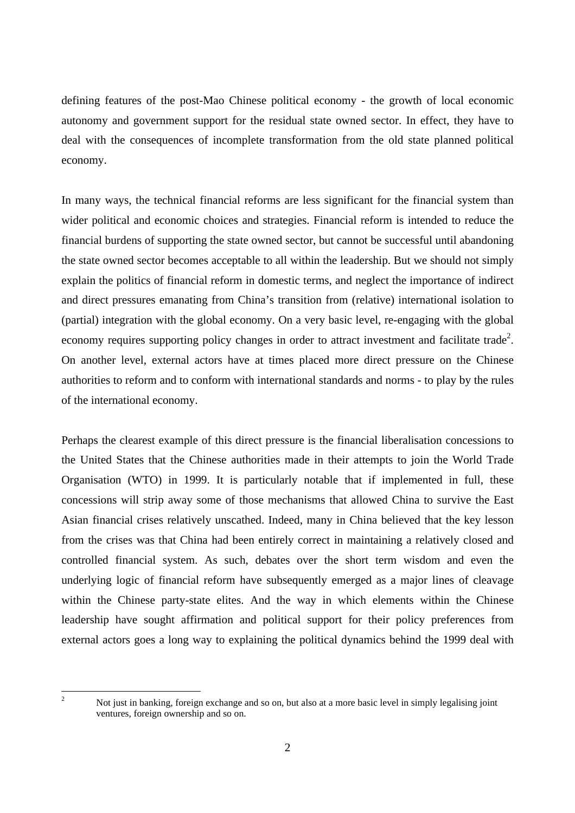defining features of the post-Mao Chinese political economy - the growth of local economic autonomy and government support for the residual state owned sector. In effect, they have to deal with the consequences of incomplete transformation from the old state planned political economy.

In many ways, the technical financial reforms are less significant for the financial system than wider political and economic choices and strategies. Financial reform is intended to reduce the financial burdens of supporting the state owned sector, but cannot be successful until abandoning the state owned sector becomes acceptable to all within the leadership. But we should not simply explain the politics of financial reform in domestic terms, and neglect the importance of indirect and direct pressures emanating from China's transition from (relative) international isolation to (partial) integration with the global economy. On a very basic level, re-engaging with the global economy requires supporting policy changes in order to attract investment and facilitate trade<sup>2</sup>. On another level, external actors have at times placed more direct pressure on the Chinese authorities to reform and to conform with international standards and norms - to play by the rules of the international economy.

Perhaps the clearest example of this direct pressure is the financial liberalisation concessions to the United States that the Chinese authorities made in their attempts to join the World Trade Organisation (WTO) in 1999. It is particularly notable that if implemented in full, these concessions will strip away some of those mechanisms that allowed China to survive the East Asian financial crises relatively unscathed. Indeed, many in China believed that the key lesson from the crises was that China had been entirely correct in maintaining a relatively closed and controlled financial system. As such, debates over the short term wisdom and even the underlying logic of financial reform have subsequently emerged as a major lines of cleavage within the Chinese party-state elites. And the way in which elements within the Chinese leadership have sought affirmation and political support for their policy preferences from external actors goes a long way to explaining the political dynamics behind the 1999 deal with

 $\overline{2}$ 

<sup>2</sup> Not just in banking, foreign exchange and so on, but also at a more basic level in simply legalising joint ventures, foreign ownership and so on.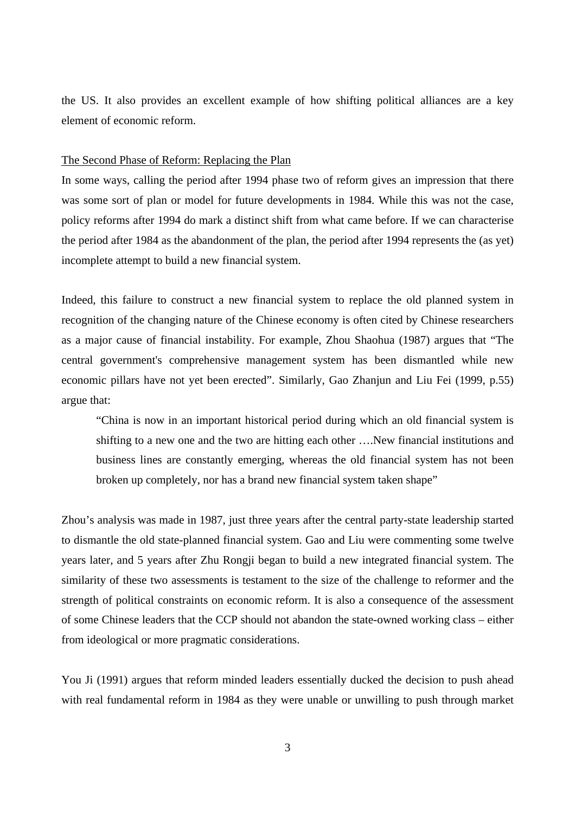the US. It also provides an excellent example of how shifting political alliances are a key element of economic reform.

#### The Second Phase of Reform: Replacing the Plan

In some ways, calling the period after 1994 phase two of reform gives an impression that there was some sort of plan or model for future developments in 1984. While this was not the case, policy reforms after 1994 do mark a distinct shift from what came before. If we can characterise the period after 1984 as the abandonment of the plan, the period after 1994 represents the (as yet) incomplete attempt to build a new financial system.

Indeed, this failure to construct a new financial system to replace the old planned system in recognition of the changing nature of the Chinese economy is often cited by Chinese researchers as a major cause of financial instability. For example, Zhou Shaohua (1987) argues that "The central government's comprehensive management system has been dismantled while new economic pillars have not yet been erected". Similarly, Gao Zhanjun and Liu Fei (1999, p.55) argue that:

"China is now in an important historical period during which an old financial system is shifting to a new one and the two are hitting each other ….New financial institutions and business lines are constantly emerging, whereas the old financial system has not been broken up completely, nor has a brand new financial system taken shape"

Zhou's analysis was made in 1987, just three years after the central party-state leadership started to dismantle the old state-planned financial system. Gao and Liu were commenting some twelve years later, and 5 years after Zhu Rongji began to build a new integrated financial system. The similarity of these two assessments is testament to the size of the challenge to reformer and the strength of political constraints on economic reform. It is also a consequence of the assessment of some Chinese leaders that the CCP should not abandon the state-owned working class – either from ideological or more pragmatic considerations.

You Ji (1991) argues that reform minded leaders essentially ducked the decision to push ahead with real fundamental reform in 1984 as they were unable or unwilling to push through market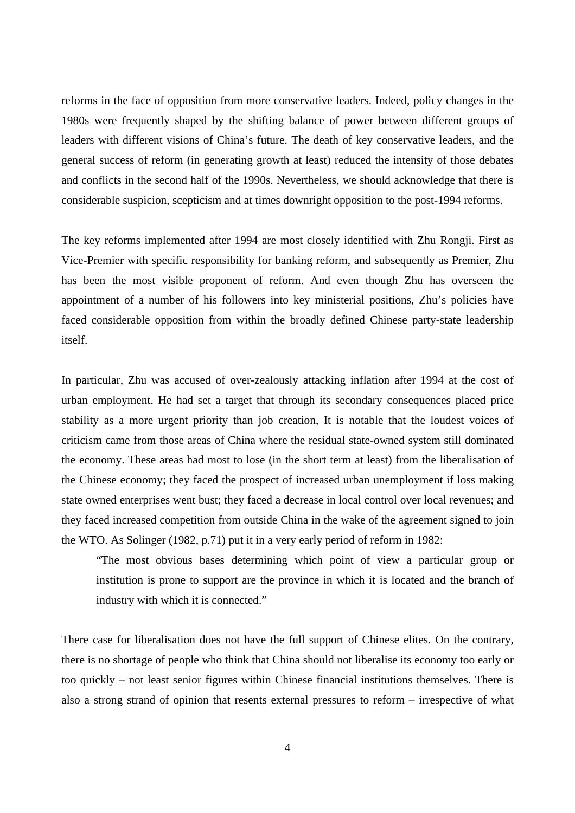reforms in the face of opposition from more conservative leaders. Indeed, policy changes in the 1980s were frequently shaped by the shifting balance of power between different groups of leaders with different visions of China's future. The death of key conservative leaders, and the general success of reform (in generating growth at least) reduced the intensity of those debates and conflicts in the second half of the 1990s. Nevertheless, we should acknowledge that there is considerable suspicion, scepticism and at times downright opposition to the post-1994 reforms.

The key reforms implemented after 1994 are most closely identified with Zhu Rongji. First as Vice-Premier with specific responsibility for banking reform, and subsequently as Premier, Zhu has been the most visible proponent of reform. And even though Zhu has overseen the appointment of a number of his followers into key ministerial positions, Zhu's policies have faced considerable opposition from within the broadly defined Chinese party-state leadership itself.

In particular, Zhu was accused of over-zealously attacking inflation after 1994 at the cost of urban employment. He had set a target that through its secondary consequences placed price stability as a more urgent priority than job creation, It is notable that the loudest voices of criticism came from those areas of China where the residual state-owned system still dominated the economy. These areas had most to lose (in the short term at least) from the liberalisation of the Chinese economy; they faced the prospect of increased urban unemployment if loss making state owned enterprises went bust; they faced a decrease in local control over local revenues; and they faced increased competition from outside China in the wake of the agreement signed to join the WTO. As Solinger (1982, p.71) put it in a very early period of reform in 1982:

"The most obvious bases determining which point of view a particular group or institution is prone to support are the province in which it is located and the branch of industry with which it is connected."

There case for liberalisation does not have the full support of Chinese elites. On the contrary, there is no shortage of people who think that China should not liberalise its economy too early or too quickly – not least senior figures within Chinese financial institutions themselves. There is also a strong strand of opinion that resents external pressures to reform – irrespective of what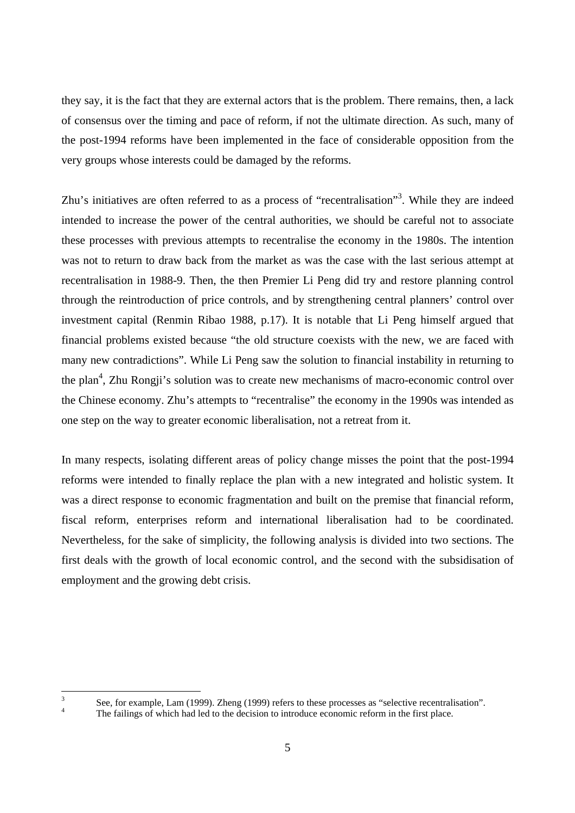they say, it is the fact that they are external actors that is the problem. There remains, then, a lack of consensus over the timing and pace of reform, if not the ultimate direction. As such, many of the post-1994 reforms have been implemented in the face of considerable opposition from the very groups whose interests could be damaged by the reforms.

Zhu's initiatives are often referred to as a process of "recentralisation"<sup>3</sup>. While they are indeed intended to increase the power of the central authorities, we should be careful not to associate these processes with previous attempts to recentralise the economy in the 1980s. The intention was not to return to draw back from the market as was the case with the last serious attempt at recentralisation in 1988-9. Then, the then Premier Li Peng did try and restore planning control through the reintroduction of price controls, and by strengthening central planners' control over investment capital (Renmin Ribao 1988, p.17). It is notable that Li Peng himself argued that financial problems existed because "the old structure coexists with the new, we are faced with many new contradictions". While Li Peng saw the solution to financial instability in returning to the plan<sup>4</sup>, Zhu Rongji's solution was to create new mechanisms of macro-economic control over the Chinese economy. Zhu's attempts to "recentralise" the economy in the 1990s was intended as one step on the way to greater economic liberalisation, not a retreat from it.

In many respects, isolating different areas of policy change misses the point that the post-1994 reforms were intended to finally replace the plan with a new integrated and holistic system. It was a direct response to economic fragmentation and built on the premise that financial reform, fiscal reform, enterprises reform and international liberalisation had to be coordinated. Nevertheless, for the sake of simplicity, the following analysis is divided into two sections. The first deals with the growth of local economic control, and the second with the subsidisation of employment and the growing debt crisis.

 3 See, for example, Lam (1999). Zheng (1999) refers to these processes as "selective recentralisation".

The failings of which had led to the decision to introduce economic reform in the first place.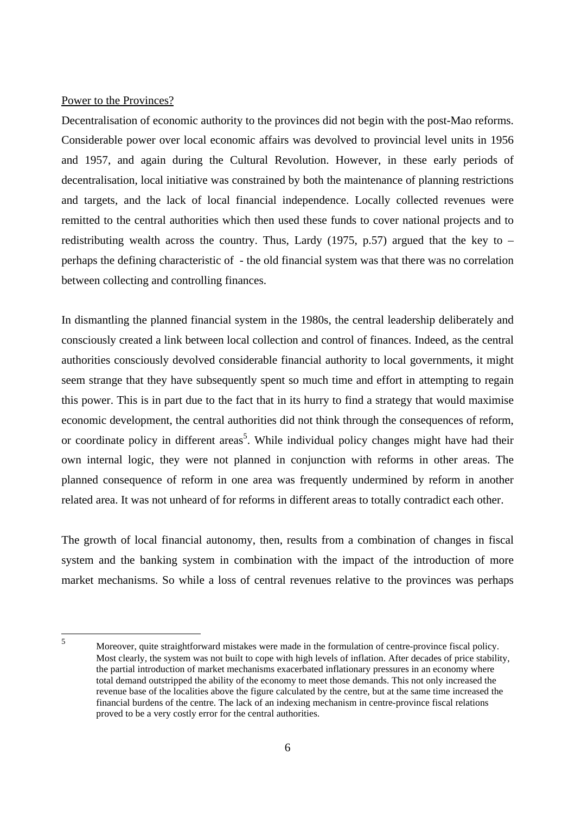#### Power to the Provinces?

Decentralisation of economic authority to the provinces did not begin with the post-Mao reforms. Considerable power over local economic affairs was devolved to provincial level units in 1956 and 1957, and again during the Cultural Revolution. However, in these early periods of decentralisation, local initiative was constrained by both the maintenance of planning restrictions and targets, and the lack of local financial independence. Locally collected revenues were remitted to the central authorities which then used these funds to cover national projects and to redistributing wealth across the country. Thus, Lardy  $(1975, p.57)$  argued that the key to – perhaps the defining characteristic of - the old financial system was that there was no correlation between collecting and controlling finances.

In dismantling the planned financial system in the 1980s, the central leadership deliberately and consciously created a link between local collection and control of finances. Indeed, as the central authorities consciously devolved considerable financial authority to local governments, it might seem strange that they have subsequently spent so much time and effort in attempting to regain this power. This is in part due to the fact that in its hurry to find a strategy that would maximise economic development, the central authorities did not think through the consequences of reform, or coordinate policy in different areas<sup>5</sup>. While individual policy changes might have had their own internal logic, they were not planned in conjunction with reforms in other areas. The planned consequence of reform in one area was frequently undermined by reform in another related area. It was not unheard of for reforms in different areas to totally contradict each other.

The growth of local financial autonomy, then, results from a combination of changes in fiscal system and the banking system in combination with the impact of the introduction of more market mechanisms. So while a loss of central revenues relative to the provinces was perhaps

 $\overline{5}$ <sup>5</sup> Moreover, quite straightforward mistakes were made in the formulation of centre-province fiscal policy. Most clearly, the system was not built to cope with high levels of inflation. After decades of price stability, the partial introduction of market mechanisms exacerbated inflationary pressures in an economy where total demand outstripped the ability of the economy to meet those demands. This not only increased the revenue base of the localities above the figure calculated by the centre, but at the same time increased the financial burdens of the centre. The lack of an indexing mechanism in centre-province fiscal relations proved to be a very costly error for the central authorities.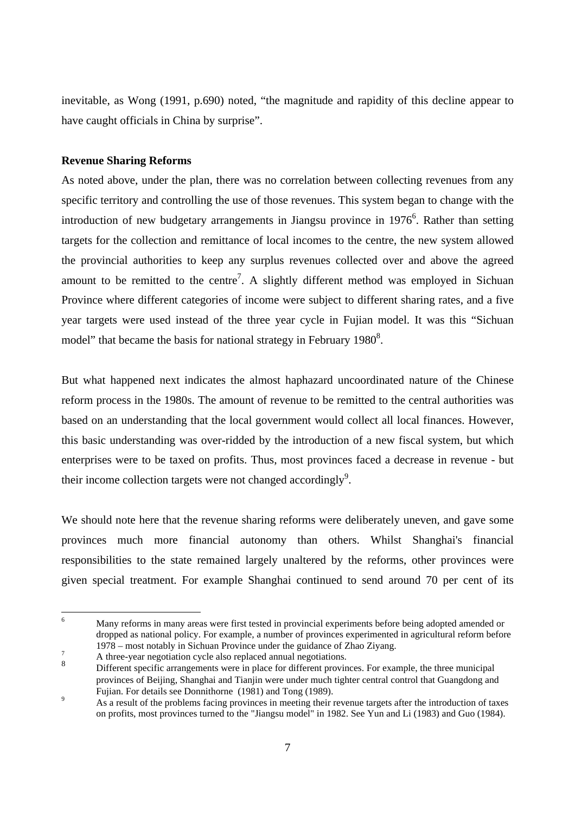inevitable, as Wong (1991, p.690) noted, "the magnitude and rapidity of this decline appear to have caught officials in China by surprise".

### **Revenue Sharing Reforms**

As noted above, under the plan, there was no correlation between collecting revenues from any specific territory and controlling the use of those revenues. This system began to change with the introduction of new budgetary arrangements in Jiangsu province in 1976<sup>6</sup>. Rather than setting targets for the collection and remittance of local incomes to the centre, the new system allowed the provincial authorities to keep any surplus revenues collected over and above the agreed amount to be remitted to the centre<sup>7</sup>. A slightly different method was employed in Sichuan Province where different categories of income were subject to different sharing rates, and a five year targets were used instead of the three year cycle in Fujian model. It was this "Sichuan model" that became the basis for national strategy in February 1980 $8$ .

But what happened next indicates the almost haphazard uncoordinated nature of the Chinese reform process in the 1980s. The amount of revenue to be remitted to the central authorities was based on an understanding that the local government would collect all local finances. However, this basic understanding was over-ridded by the introduction of a new fiscal system, but which enterprises were to be taxed on profits. Thus, most provinces faced a decrease in revenue - but their income collection targets were not changed accordingly<sup>9</sup>.

We should note here that the revenue sharing reforms were deliberately uneven, and gave some provinces much more financial autonomy than others. Whilst Shanghai's financial responsibilities to the state remained largely unaltered by the reforms, other provinces were given special treatment. For example Shanghai continued to send around 70 per cent of its

<sup>6</sup> <sup>6</sup> Many reforms in many areas were first tested in provincial experiments before being adopted amended or dropped as national policy. For example, a number of provinces experimented in agricultural reform before 1978 – most notably in Sichuan Province under the guidance of Zhao Ziyang.

A three-year negotiation cycle also replaced annual negotiations. 8

Different specific arrangements were in place for different provinces. For example, the three municipal provinces of Beijing, Shanghai and Tianjin were under much tighter central control that Guangdong and Fujian. For details see Donnithorne (1981) and Tong (1989).

<sup>&</sup>lt;sup>9</sup> As a result of the problems facing provinces in meeting their revenue targets after the introduction of taxes on profits, most provinces turned to the "Jiangsu model" in 1982. See Yun and Li (1983) and Guo (1984).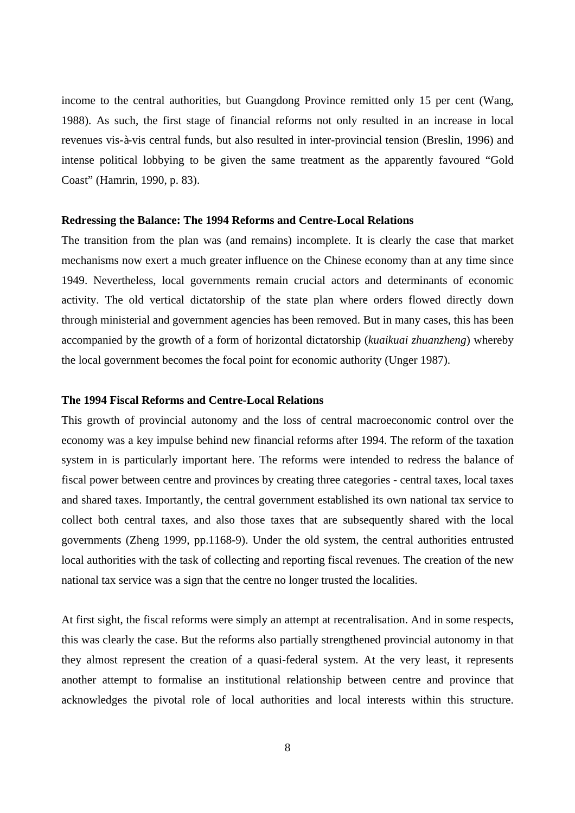income to the central authorities, but Guangdong Province remitted only 15 per cent (Wang, 1988). As such, the first stage of financial reforms not only resulted in an increase in local revenues vis-à-vis central funds, but also resulted in inter-provincial tension (Breslin, 1996) and intense political lobbying to be given the same treatment as the apparently favoured "Gold Coast" (Hamrin, 1990, p. 83).

## **Redressing the Balance: The 1994 Reforms and Centre-Local Relations**

The transition from the plan was (and remains) incomplete. It is clearly the case that market mechanisms now exert a much greater influence on the Chinese economy than at any time since 1949. Nevertheless, local governments remain crucial actors and determinants of economic activity. The old vertical dictatorship of the state plan where orders flowed directly down through ministerial and government agencies has been removed. But in many cases, this has been accompanied by the growth of a form of horizontal dictatorship (*kuaikuai zhuanzheng*) whereby the local government becomes the focal point for economic authority (Unger 1987).

## **The 1994 Fiscal Reforms and Centre-Local Relations**

This growth of provincial autonomy and the loss of central macroeconomic control over the economy was a key impulse behind new financial reforms after 1994. The reform of the taxation system in is particularly important here. The reforms were intended to redress the balance of fiscal power between centre and provinces by creating three categories - central taxes, local taxes and shared taxes. Importantly, the central government established its own national tax service to collect both central taxes, and also those taxes that are subsequently shared with the local governments (Zheng 1999, pp.1168-9). Under the old system, the central authorities entrusted local authorities with the task of collecting and reporting fiscal revenues. The creation of the new national tax service was a sign that the centre no longer trusted the localities.

At first sight, the fiscal reforms were simply an attempt at recentralisation. And in some respects, this was clearly the case. But the reforms also partially strengthened provincial autonomy in that they almost represent the creation of a quasi-federal system. At the very least, it represents another attempt to formalise an institutional relationship between centre and province that acknowledges the pivotal role of local authorities and local interests within this structure.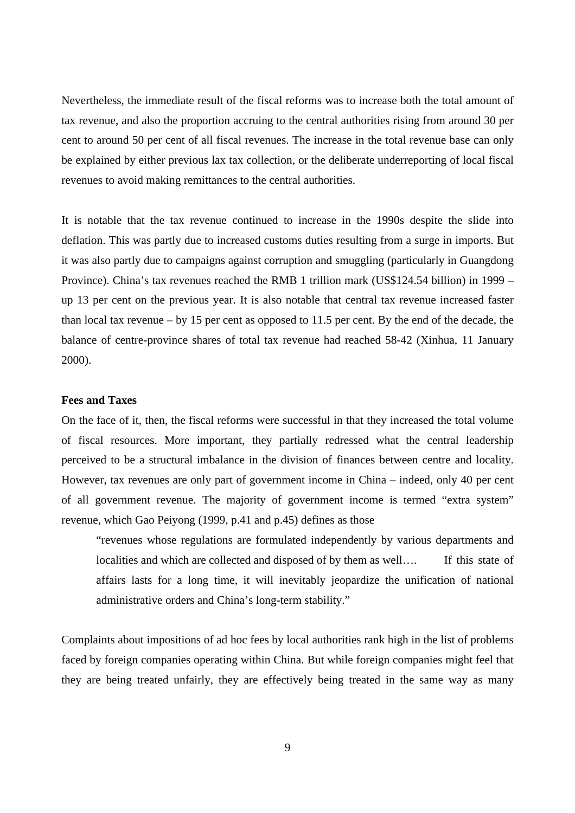Nevertheless, the immediate result of the fiscal reforms was to increase both the total amount of tax revenue, and also the proportion accruing to the central authorities rising from around 30 per cent to around 50 per cent of all fiscal revenues. The increase in the total revenue base can only be explained by either previous lax tax collection, or the deliberate underreporting of local fiscal revenues to avoid making remittances to the central authorities.

It is notable that the tax revenue continued to increase in the 1990s despite the slide into deflation. This was partly due to increased customs duties resulting from a surge in imports. But it was also partly due to campaigns against corruption and smuggling (particularly in Guangdong Province). China's tax revenues reached the RMB 1 trillion mark (US\$124.54 billion) in 1999 – up 13 per cent on the previous year. It is also notable that central tax revenue increased faster than local tax revenue – by 15 per cent as opposed to 11.5 per cent. By the end of the decade, the balance of centre-province shares of total tax revenue had reached 58-42 (Xinhua, 11 January 2000).

## **Fees and Taxes**

On the face of it, then, the fiscal reforms were successful in that they increased the total volume of fiscal resources. More important, they partially redressed what the central leadership perceived to be a structural imbalance in the division of finances between centre and locality. However, tax revenues are only part of government income in China – indeed, only 40 per cent of all government revenue. The majority of government income is termed "extra system" revenue, which Gao Peiyong (1999, p.41 and p.45) defines as those

"revenues whose regulations are formulated independently by various departments and localities and which are collected and disposed of by them as well…. If this state of affairs lasts for a long time, it will inevitably jeopardize the unification of national administrative orders and China's long-term stability."

Complaints about impositions of ad hoc fees by local authorities rank high in the list of problems faced by foreign companies operating within China. But while foreign companies might feel that they are being treated unfairly, they are effectively being treated in the same way as many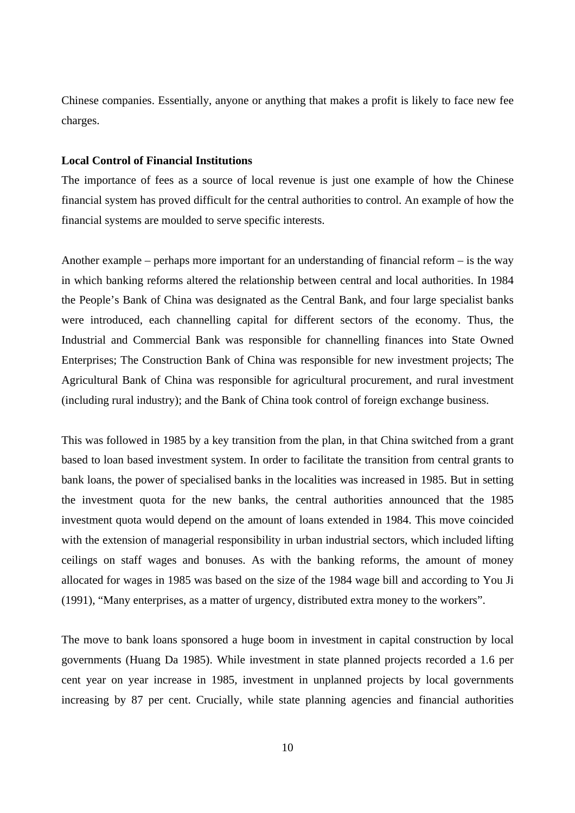Chinese companies. Essentially, anyone or anything that makes a profit is likely to face new fee charges.

#### **Local Control of Financial Institutions**

The importance of fees as a source of local revenue is just one example of how the Chinese financial system has proved difficult for the central authorities to control. An example of how the financial systems are moulded to serve specific interests.

Another example – perhaps more important for an understanding of financial reform – is the way in which banking reforms altered the relationship between central and local authorities. In 1984 the People's Bank of China was designated as the Central Bank, and four large specialist banks were introduced, each channelling capital for different sectors of the economy. Thus, the Industrial and Commercial Bank was responsible for channelling finances into State Owned Enterprises; The Construction Bank of China was responsible for new investment projects; The Agricultural Bank of China was responsible for agricultural procurement, and rural investment (including rural industry); and the Bank of China took control of foreign exchange business.

This was followed in 1985 by a key transition from the plan, in that China switched from a grant based to loan based investment system. In order to facilitate the transition from central grants to bank loans, the power of specialised banks in the localities was increased in 1985. But in setting the investment quota for the new banks, the central authorities announced that the 1985 investment quota would depend on the amount of loans extended in 1984. This move coincided with the extension of managerial responsibility in urban industrial sectors, which included lifting ceilings on staff wages and bonuses. As with the banking reforms, the amount of money allocated for wages in 1985 was based on the size of the 1984 wage bill and according to You Ji (1991), "Many enterprises, as a matter of urgency, distributed extra money to the workers".

The move to bank loans sponsored a huge boom in investment in capital construction by local governments (Huang Da 1985). While investment in state planned projects recorded a 1.6 per cent year on year increase in 1985, investment in unplanned projects by local governments increasing by 87 per cent. Crucially, while state planning agencies and financial authorities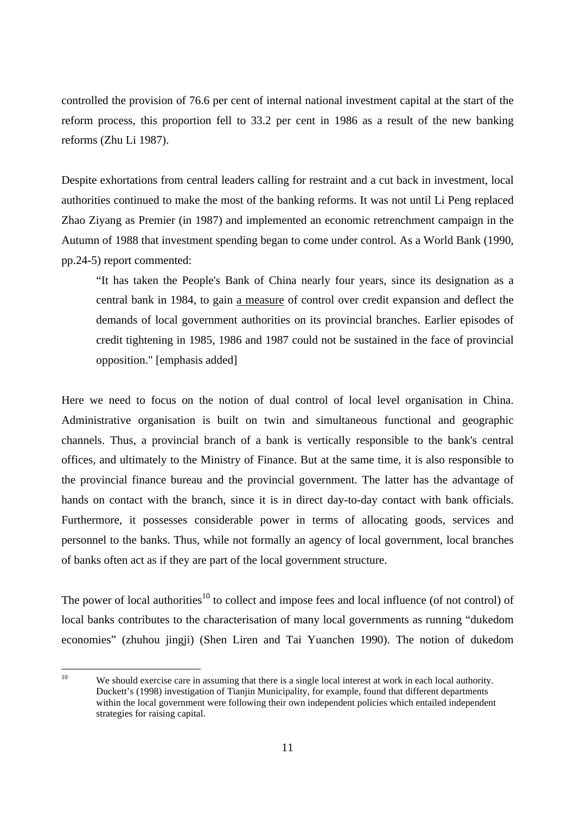controlled the provision of 76.6 per cent of internal national investment capital at the start of the reform process, this proportion fell to 33.2 per cent in 1986 as a result of the new banking reforms (Zhu Li 1987).

Despite exhortations from central leaders calling for restraint and a cut back in investment, local authorities continued to make the most of the banking reforms. It was not until Li Peng replaced Zhao Ziyang as Premier (in 1987) and implemented an economic retrenchment campaign in the Autumn of 1988 that investment spending began to come under control. As a World Bank (1990, pp.24-5) report commented:

"It has taken the People's Bank of China nearly four years, since its designation as a central bank in 1984, to gain a measure of control over credit expansion and deflect the demands of local government authorities on its provincial branches. Earlier episodes of credit tightening in 1985, 1986 and 1987 could not be sustained in the face of provincial opposition." [emphasis added]

Here we need to focus on the notion of dual control of local level organisation in China. Administrative organisation is built on twin and simultaneous functional and geographic channels. Thus, a provincial branch of a bank is vertically responsible to the bank's central offices, and ultimately to the Ministry of Finance. But at the same time, it is also responsible to the provincial finance bureau and the provincial government. The latter has the advantage of hands on contact with the branch, since it is in direct day-to-day contact with bank officials. Furthermore, it possesses considerable power in terms of allocating goods, services and personnel to the banks. Thus, while not formally an agency of local government, local branches of banks often act as if they are part of the local government structure.

The power of local authorities<sup>10</sup> to collect and impose fees and local influence (of not control) of local banks contributes to the characterisation of many local governments as running "dukedom economies" (zhuhou jingji) (Shen Liren and Tai Yuanchen 1990). The notion of dukedom

 $10$ We should exercise care in assuming that there is a single local interest at work in each local authority. Duckett's (1998) investigation of Tianjin Municipality, for example, found that different departments within the local government were following their own independent policies which entailed independent strategies for raising capital.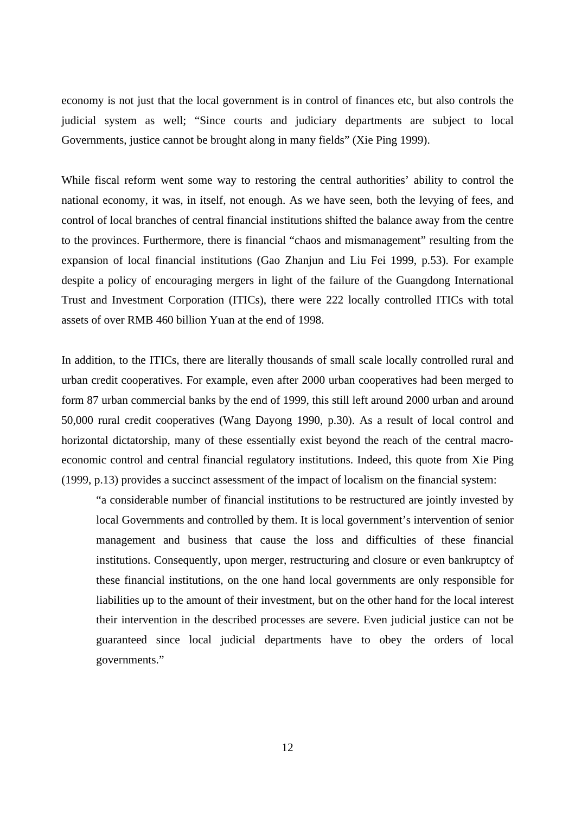economy is not just that the local government is in control of finances etc, but also controls the judicial system as well; "Since courts and judiciary departments are subject to local Governments, justice cannot be brought along in many fields" (Xie Ping 1999).

While fiscal reform went some way to restoring the central authorities' ability to control the national economy, it was, in itself, not enough. As we have seen, both the levying of fees, and control of local branches of central financial institutions shifted the balance away from the centre to the provinces. Furthermore, there is financial "chaos and mismanagement" resulting from the expansion of local financial institutions (Gao Zhanjun and Liu Fei 1999, p.53). For example despite a policy of encouraging mergers in light of the failure of the Guangdong International Trust and Investment Corporation (ITICs), there were 222 locally controlled ITICs with total assets of over RMB 460 billion Yuan at the end of 1998.

In addition, to the ITICs, there are literally thousands of small scale locally controlled rural and urban credit cooperatives. For example, even after 2000 urban cooperatives had been merged to form 87 urban commercial banks by the end of 1999, this still left around 2000 urban and around 50,000 rural credit cooperatives (Wang Dayong 1990, p.30). As a result of local control and horizontal dictatorship, many of these essentially exist beyond the reach of the central macroeconomic control and central financial regulatory institutions. Indeed, this quote from Xie Ping (1999, p.13) provides a succinct assessment of the impact of localism on the financial system:

"a considerable number of financial institutions to be restructured are jointly invested by local Governments and controlled by them. It is local government's intervention of senior management and business that cause the loss and difficulties of these financial institutions. Consequently, upon merger, restructuring and closure or even bankruptcy of these financial institutions, on the one hand local governments are only responsible for liabilities up to the amount of their investment, but on the other hand for the local interest their intervention in the described processes are severe. Even judicial justice can not be guaranteed since local judicial departments have to obey the orders of local governments."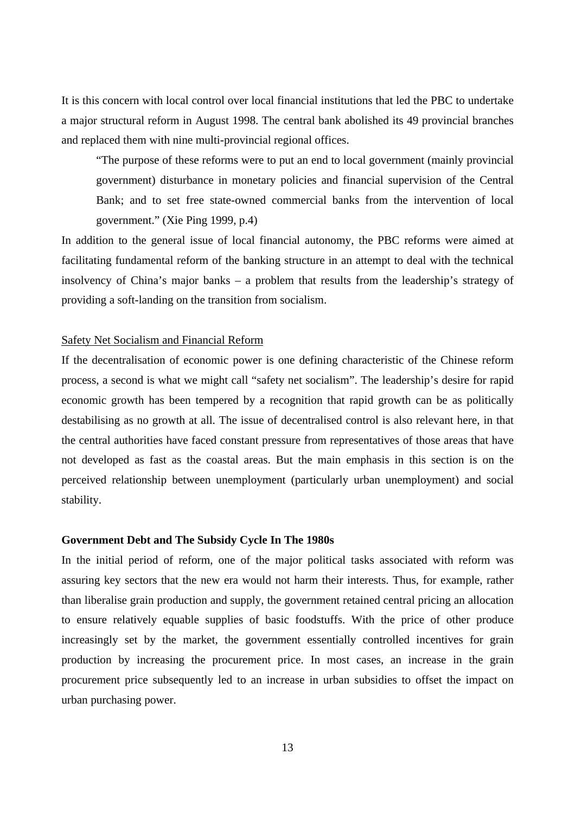It is this concern with local control over local financial institutions that led the PBC to undertake a major structural reform in August 1998. The central bank abolished its 49 provincial branches and replaced them with nine multi-provincial regional offices.

"The purpose of these reforms were to put an end to local government (mainly provincial government) disturbance in monetary policies and financial supervision of the Central Bank; and to set free state-owned commercial banks from the intervention of local government." (Xie Ping 1999, p.4)

In addition to the general issue of local financial autonomy, the PBC reforms were aimed at facilitating fundamental reform of the banking structure in an attempt to deal with the technical insolvency of China's major banks – a problem that results from the leadership's strategy of providing a soft-landing on the transition from socialism.

#### Safety Net Socialism and Financial Reform

If the decentralisation of economic power is one defining characteristic of the Chinese reform process, a second is what we might call "safety net socialism". The leadership's desire for rapid economic growth has been tempered by a recognition that rapid growth can be as politically destabilising as no growth at all. The issue of decentralised control is also relevant here, in that the central authorities have faced constant pressure from representatives of those areas that have not developed as fast as the coastal areas. But the main emphasis in this section is on the perceived relationship between unemployment (particularly urban unemployment) and social stability.

## **Government Debt and The Subsidy Cycle In The 1980s**

In the initial period of reform, one of the major political tasks associated with reform was assuring key sectors that the new era would not harm their interests. Thus, for example, rather than liberalise grain production and supply, the government retained central pricing an allocation to ensure relatively equable supplies of basic foodstuffs. With the price of other produce increasingly set by the market, the government essentially controlled incentives for grain production by increasing the procurement price. In most cases, an increase in the grain procurement price subsequently led to an increase in urban subsidies to offset the impact on urban purchasing power.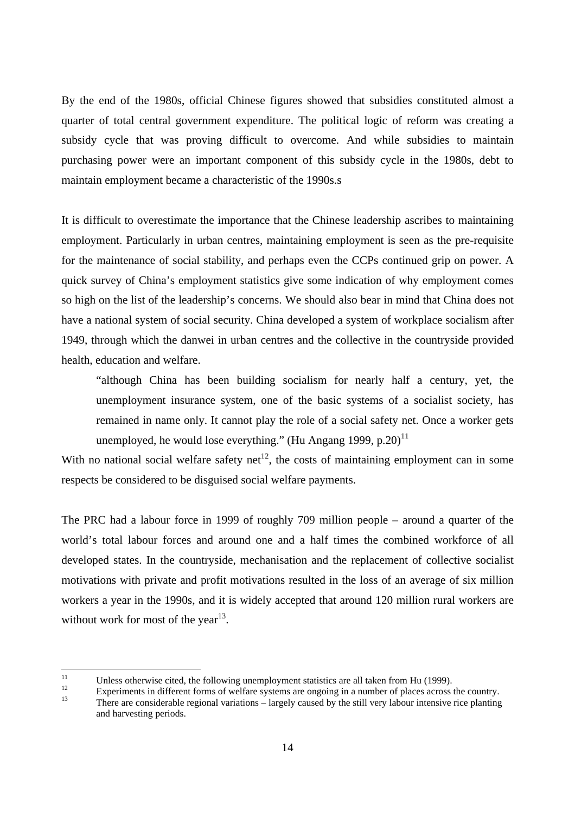By the end of the 1980s, official Chinese figures showed that subsidies constituted almost a quarter of total central government expenditure. The political logic of reform was creating a subsidy cycle that was proving difficult to overcome. And while subsidies to maintain purchasing power were an important component of this subsidy cycle in the 1980s, debt to maintain employment became a characteristic of the 1990s.s

It is difficult to overestimate the importance that the Chinese leadership ascribes to maintaining employment. Particularly in urban centres, maintaining employment is seen as the pre-requisite for the maintenance of social stability, and perhaps even the CCPs continued grip on power. A quick survey of China's employment statistics give some indication of why employment comes so high on the list of the leadership's concerns. We should also bear in mind that China does not have a national system of social security. China developed a system of workplace socialism after 1949, through which the danwei in urban centres and the collective in the countryside provided health, education and welfare.

"although China has been building socialism for nearly half a century, yet, the unemployment insurance system, one of the basic systems of a socialist society, has remained in name only. It cannot play the role of a social safety net. Once a worker gets unemployed, he would lose everything." (Hu Angang 1999, p.20)<sup>11</sup>

With no national social welfare safety net<sup>12</sup>, the costs of maintaining employment can in some respects be considered to be disguised social welfare payments.

The PRC had a labour force in 1999 of roughly 709 million people – around a quarter of the world's total labour forces and around one and a half times the combined workforce of all developed states. In the countryside, mechanisation and the replacement of collective socialist motivations with private and profit motivations resulted in the loss of an average of six million workers a year in the 1990s, and it is widely accepted that around 120 million rural workers are without work for most of the year $^{13}$ .

 $11$ <sup>11</sup> Unless otherwise cited, the following unemployment statistics are all taken from Hu (1999).<br><sup>12</sup> Eurosiments in different forms of welfare systems are opening in a number of places capes as

 $\frac{12}{13}$  Experiments in different forms of welfare systems are ongoing in a number of places across the country. There are considerable regional variations – largely caused by the still very labour intensive rice planting and harvesting periods.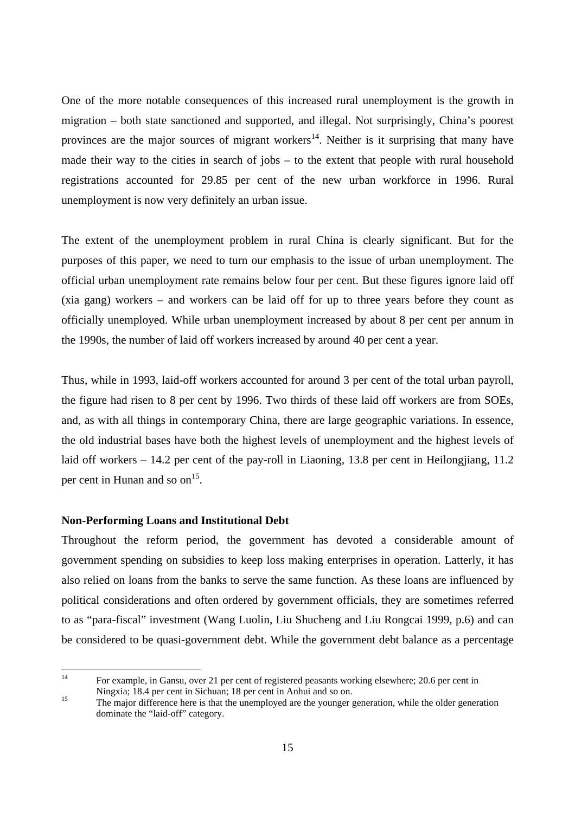One of the more notable consequences of this increased rural unemployment is the growth in migration – both state sanctioned and supported, and illegal. Not surprisingly, China's poorest provinces are the major sources of migrant workers<sup>14</sup>. Neither is it surprising that many have made their way to the cities in search of jobs – to the extent that people with rural household registrations accounted for 29.85 per cent of the new urban workforce in 1996. Rural unemployment is now very definitely an urban issue.

The extent of the unemployment problem in rural China is clearly significant. But for the purposes of this paper, we need to turn our emphasis to the issue of urban unemployment. The official urban unemployment rate remains below four per cent. But these figures ignore laid off (xia gang) workers – and workers can be laid off for up to three years before they count as officially unemployed. While urban unemployment increased by about 8 per cent per annum in the 1990s, the number of laid off workers increased by around 40 per cent a year.

Thus, while in 1993, laid-off workers accounted for around 3 per cent of the total urban payroll, the figure had risen to 8 per cent by 1996. Two thirds of these laid off workers are from SOEs, and, as with all things in contemporary China, there are large geographic variations. In essence, the old industrial bases have both the highest levels of unemployment and the highest levels of laid off workers – 14.2 per cent of the pay-roll in Liaoning, 13.8 per cent in Heilongjiang, 11.2 per cent in Hunan and so on<sup>15</sup>.

#### **Non-Performing Loans and Institutional Debt**

Throughout the reform period, the government has devoted a considerable amount of government spending on subsidies to keep loss making enterprises in operation. Latterly, it has also relied on loans from the banks to serve the same function. As these loans are influenced by political considerations and often ordered by government officials, they are sometimes referred to as "para-fiscal" investment (Wang Luolin, Liu Shucheng and Liu Rongcai 1999, p.6) and can be considered to be quasi-government debt. While the government debt balance as a percentage

 $14$ <sup>14</sup> For example, in Gansu, over 21 per cent of registered peasants working elsewhere; 20.6 per cent in Ningxia; 18.4 per cent in Sichuan; 18 per cent in Anhui and so on.

<sup>&</sup>lt;sup>15</sup> The major difference here is that the unemployed are the younger generation, while the older generation dominate the "laid-off" category.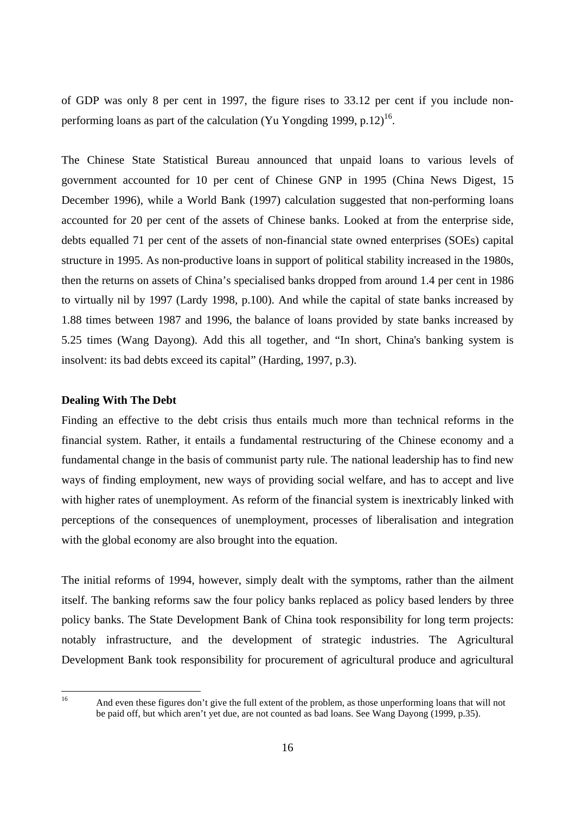of GDP was only 8 per cent in 1997, the figure rises to 33.12 per cent if you include nonperforming loans as part of the calculation (Yu Yongding 1999, p.12)<sup>16</sup>.

The Chinese State Statistical Bureau announced that unpaid loans to various levels of government accounted for 10 per cent of Chinese GNP in 1995 (China News Digest, 15 December 1996), while a World Bank (1997) calculation suggested that non-performing loans accounted for 20 per cent of the assets of Chinese banks. Looked at from the enterprise side, debts equalled 71 per cent of the assets of non-financial state owned enterprises (SOEs) capital structure in 1995. As non-productive loans in support of political stability increased in the 1980s, then the returns on assets of China's specialised banks dropped from around 1.4 per cent in 1986 to virtually nil by 1997 (Lardy 1998, p.100). And while the capital of state banks increased by 1.88 times between 1987 and 1996, the balance of loans provided by state banks increased by 5.25 times (Wang Dayong). Add this all together, and "In short, China's banking system is insolvent: its bad debts exceed its capital" (Harding, 1997, p.3).

#### **Dealing With The Debt**

Finding an effective to the debt crisis thus entails much more than technical reforms in the financial system. Rather, it entails a fundamental restructuring of the Chinese economy and a fundamental change in the basis of communist party rule. The national leadership has to find new ways of finding employment, new ways of providing social welfare, and has to accept and live with higher rates of unemployment. As reform of the financial system is inextricably linked with perceptions of the consequences of unemployment, processes of liberalisation and integration with the global economy are also brought into the equation.

The initial reforms of 1994, however, simply dealt with the symptoms, rather than the ailment itself. The banking reforms saw the four policy banks replaced as policy based lenders by three policy banks. The State Development Bank of China took responsibility for long term projects: notably infrastructure, and the development of strategic industries. The Agricultural Development Bank took responsibility for procurement of agricultural produce and agricultural

16

And even these figures don't give the full extent of the problem, as those unperforming loans that will not be paid off, but which aren't yet due, are not counted as bad loans. See Wang Dayong (1999, p.35).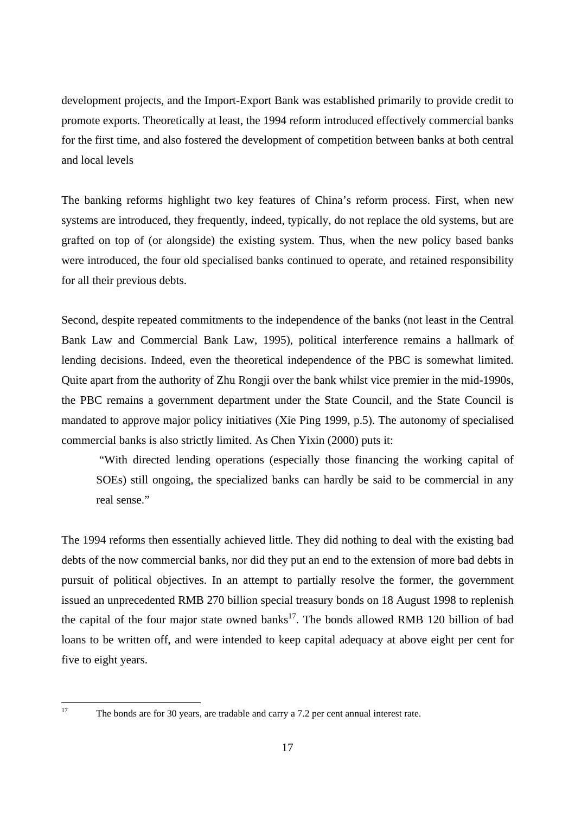development projects, and the Import-Export Bank was established primarily to provide credit to promote exports. Theoretically at least, the 1994 reform introduced effectively commercial banks for the first time, and also fostered the development of competition between banks at both central and local levels

The banking reforms highlight two key features of China's reform process. First, when new systems are introduced, they frequently, indeed, typically, do not replace the old systems, but are grafted on top of (or alongside) the existing system. Thus, when the new policy based banks were introduced, the four old specialised banks continued to operate, and retained responsibility for all their previous debts.

Second, despite repeated commitments to the independence of the banks (not least in the Central Bank Law and Commercial Bank Law, 1995), political interference remains a hallmark of lending decisions. Indeed, even the theoretical independence of the PBC is somewhat limited. Quite apart from the authority of Zhu Rongji over the bank whilst vice premier in the mid-1990s, the PBC remains a government department under the State Council, and the State Council is mandated to approve major policy initiatives (Xie Ping 1999, p.5). The autonomy of specialised commercial banks is also strictly limited. As Chen Yixin (2000) puts it:

 "With directed lending operations (especially those financing the working capital of SOEs) still ongoing, the specialized banks can hardly be said to be commercial in any real sense."

The 1994 reforms then essentially achieved little. They did nothing to deal with the existing bad debts of the now commercial banks, nor did they put an end to the extension of more bad debts in pursuit of political objectives. In an attempt to partially resolve the former, the government issued an unprecedented RMB 270 billion special treasury bonds on 18 August 1998 to replenish the capital of the four major state owned banks<sup>17</sup>. The bonds allowed RMB 120 billion of bad loans to be written off, and were intended to keep capital adequacy at above eight per cent for five to eight years.

 $17$ 

The bonds are for 30 years, are tradable and carry a 7.2 per cent annual interest rate.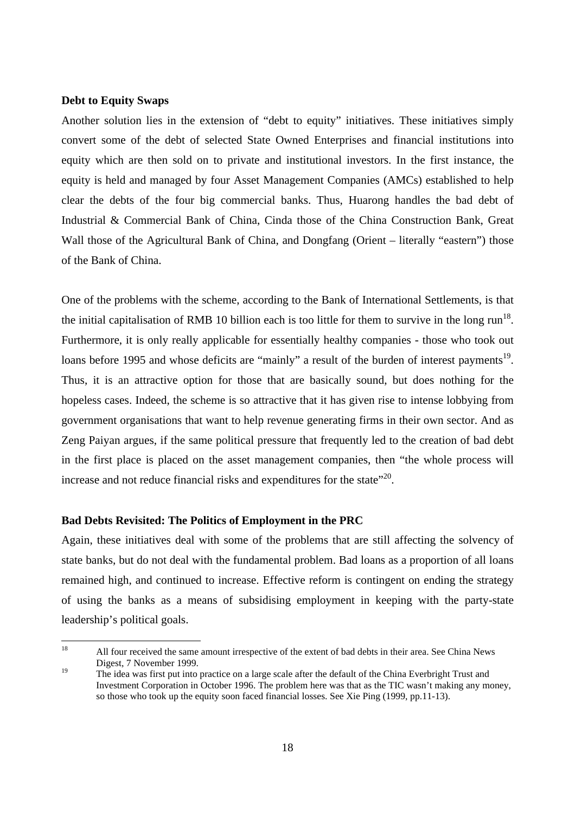#### **Debt to Equity Swaps**

Another solution lies in the extension of "debt to equity" initiatives. These initiatives simply convert some of the debt of selected State Owned Enterprises and financial institutions into equity which are then sold on to private and institutional investors. In the first instance, the equity is held and managed by four Asset Management Companies (AMCs) established to help clear the debts of the four big commercial banks. Thus, Huarong handles the bad debt of Industrial & Commercial Bank of China, Cinda those of the China Construction Bank, Great Wall those of the Agricultural Bank of China, and Dongfang (Orient – literally "eastern") those of the Bank of China.

One of the problems with the scheme, according to the Bank of International Settlements, is that the initial capitalisation of RMB 10 billion each is too little for them to survive in the long run<sup>18</sup>. Furthermore, it is only really applicable for essentially healthy companies - those who took out loans before 1995 and whose deficits are "mainly" a result of the burden of interest payments<sup>19</sup>. Thus, it is an attractive option for those that are basically sound, but does nothing for the hopeless cases. Indeed, the scheme is so attractive that it has given rise to intense lobbying from government organisations that want to help revenue generating firms in their own sector. And as Zeng Paiyan argues, if the same political pressure that frequently led to the creation of bad debt in the first place is placed on the asset management companies, then "the whole process will increase and not reduce financial risks and expenditures for the state<sup> $20$ </sup>.

#### **Bad Debts Revisited: The Politics of Employment in the PRC**

Again, these initiatives deal with some of the problems that are still affecting the solvency of state banks, but do not deal with the fundamental problem. Bad loans as a proportion of all loans remained high, and continued to increase. Effective reform is contingent on ending the strategy of using the banks as a means of subsidising employment in keeping with the party-state leadership's political goals.

<sup>18</sup> <sup>18</sup> All four received the same amount irrespective of the extent of bad debts in their area. See China News Digest, 7 November 1999.

<sup>&</sup>lt;sup>19</sup> The idea was first put into practice on a large scale after the default of the China Everbright Trust and Investment Corporation in October 1996. The problem here was that as the TIC wasn't making any money, so those who took up the equity soon faced financial losses. See Xie Ping (1999, pp.11-13).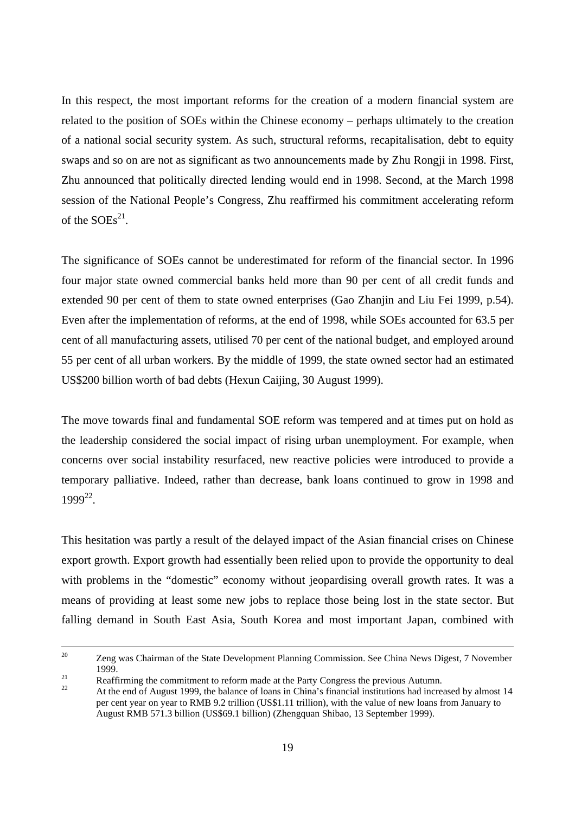In this respect, the most important reforms for the creation of a modern financial system are related to the position of SOEs within the Chinese economy – perhaps ultimately to the creation of a national social security system. As such, structural reforms, recapitalisation, debt to equity swaps and so on are not as significant as two announcements made by Zhu Rongji in 1998. First, Zhu announced that politically directed lending would end in 1998. Second, at the March 1998 session of the National People's Congress, Zhu reaffirmed his commitment accelerating reform of the  $\text{SOEs}^{21}$ .

The significance of SOEs cannot be underestimated for reform of the financial sector. In 1996 four major state owned commercial banks held more than 90 per cent of all credit funds and extended 90 per cent of them to state owned enterprises (Gao Zhanjin and Liu Fei 1999, p.54). Even after the implementation of reforms, at the end of 1998, while SOEs accounted for 63.5 per cent of all manufacturing assets, utilised 70 per cent of the national budget, and employed around 55 per cent of all urban workers. By the middle of 1999, the state owned sector had an estimated US\$200 billion worth of bad debts (Hexun Caijing, 30 August 1999).

The move towards final and fundamental SOE reform was tempered and at times put on hold as the leadership considered the social impact of rising urban unemployment. For example, when concerns over social instability resurfaced, new reactive policies were introduced to provide a temporary palliative. Indeed, rather than decrease, bank loans continued to grow in 1998 and 1999<sup>22</sup>.

This hesitation was partly a result of the delayed impact of the Asian financial crises on Chinese export growth. Export growth had essentially been relied upon to provide the opportunity to deal with problems in the "domestic" economy without jeopardising overall growth rates. It was a means of providing at least some new jobs to replace those being lost in the state sector. But falling demand in South East Asia, South Korea and most important Japan, combined with

 $20^{\circ}$ Zeng was Chairman of the State Development Planning Commission. See China News Digest, 7 November 1999.

<sup>&</sup>lt;sup>21</sup><br>Reaffirming the commitment to reform made at the Party Congress the previous Autumn.<br>At the and of August 1000, the halonge of Jagna in China's financial institutions had increased. <sup>22</sup> At the end of August 1999, the balance of loans in China's financial institutions had increased by almost 14 per cent year on year to RMB 9.2 trillion (US\$1.11 trillion), with the value of new loans from January to August RMB 571.3 billion (US\$69.1 billion) (Zhengquan Shibao, 13 September 1999).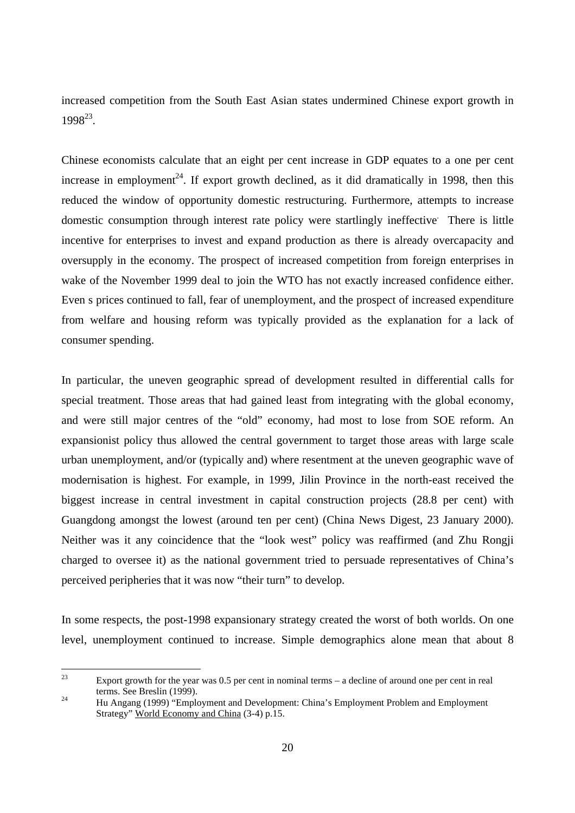increased competition from the South East Asian states undermined Chinese export growth in 1998<sup>23</sup>.

Chinese economists calculate that an eight per cent increase in GDP equates to a one per cent increase in employment<sup>24</sup>. If export growth declined, as it did dramatically in 1998, then this reduced the window of opportunity domestic restructuring. Furthermore, attempts to increase domestic consumption through interest rate policy were startlingly ineffective. There is little incentive for enterprises to invest and expand production as there is already overcapacity and oversupply in the economy. The prospect of increased competition from foreign enterprises in wake of the November 1999 deal to join the WTO has not exactly increased confidence either. Even s prices continued to fall, fear of unemployment, and the prospect of increased expenditure from welfare and housing reform was typically provided as the explanation for a lack of consumer spending.

In particular, the uneven geographic spread of development resulted in differential calls for special treatment. Those areas that had gained least from integrating with the global economy, and were still major centres of the "old" economy, had most to lose from SOE reform. An expansionist policy thus allowed the central government to target those areas with large scale urban unemployment, and/or (typically and) where resentment at the uneven geographic wave of modernisation is highest. For example, in 1999, Jilin Province in the north-east received the biggest increase in central investment in capital construction projects (28.8 per cent) with Guangdong amongst the lowest (around ten per cent) (China News Digest, 23 January 2000). Neither was it any coincidence that the "look west" policy was reaffirmed (and Zhu Rongji charged to oversee it) as the national government tried to persuade representatives of China's perceived peripheries that it was now "their turn" to develop.

In some respects, the post-1998 expansionary strategy created the worst of both worlds. On one level, unemployment continued to increase. Simple demographics alone mean that about 8

<sup>23</sup> Export growth for the year was  $0.5$  per cent in nominal terms – a decline of around one per cent in real terms. See Breslin (1999).

<sup>&</sup>lt;sup>24</sup> Hu Angang (1999) "Employment and Development: China's Employment Problem and Employment Strategy" World Economy and China (3-4) p.15.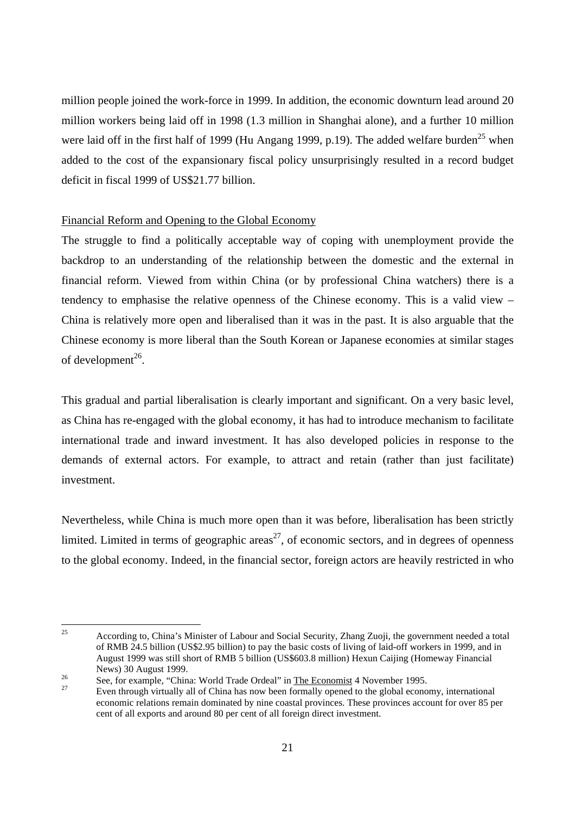million people joined the work-force in 1999. In addition, the economic downturn lead around 20 million workers being laid off in 1998 (1.3 million in Shanghai alone), and a further 10 million were laid off in the first half of 1999 (Hu Angang 1999, p.19). The added welfare burden<sup>25</sup> when added to the cost of the expansionary fiscal policy unsurprisingly resulted in a record budget deficit in fiscal 1999 of US\$21.77 billion.

## Financial Reform and Opening to the Global Economy

The struggle to find a politically acceptable way of coping with unemployment provide the backdrop to an understanding of the relationship between the domestic and the external in financial reform. Viewed from within China (or by professional China watchers) there is a tendency to emphasise the relative openness of the Chinese economy. This is a valid view – China is relatively more open and liberalised than it was in the past. It is also arguable that the Chinese economy is more liberal than the South Korean or Japanese economies at similar stages of development<sup>26</sup>.

This gradual and partial liberalisation is clearly important and significant. On a very basic level, as China has re-engaged with the global economy, it has had to introduce mechanism to facilitate international trade and inward investment. It has also developed policies in response to the demands of external actors. For example, to attract and retain (rather than just facilitate) investment.

Nevertheless, while China is much more open than it was before, liberalisation has been strictly limited. Limited in terms of geographic areas<sup>27</sup>, of economic sectors, and in degrees of openness to the global economy. Indeed, in the financial sector, foreign actors are heavily restricted in who

 $25$ <sup>25</sup> According to, China's Minister of Labour and Social Security, Zhang Zuoji, the government needed a total of RMB 24.5 billion (US\$2.95 billion) to pay the basic costs of living of laid-off workers in 1999, and in August 1999 was still short of RMB 5 billion (US\$603.8 million) Hexun Caijing (Homeway Financial News) 30 August 1999.

<sup>&</sup>lt;sup>26</sup> See, for example, "China: World Trade Ordeal" in <u>The Economist</u> 4 November 1995.

Even through virtually all of China has now been formally opened to the global economy, international economic relations remain dominated by nine coastal provinces. These provinces account for over 85 per cent of all exports and around 80 per cent of all foreign direct investment.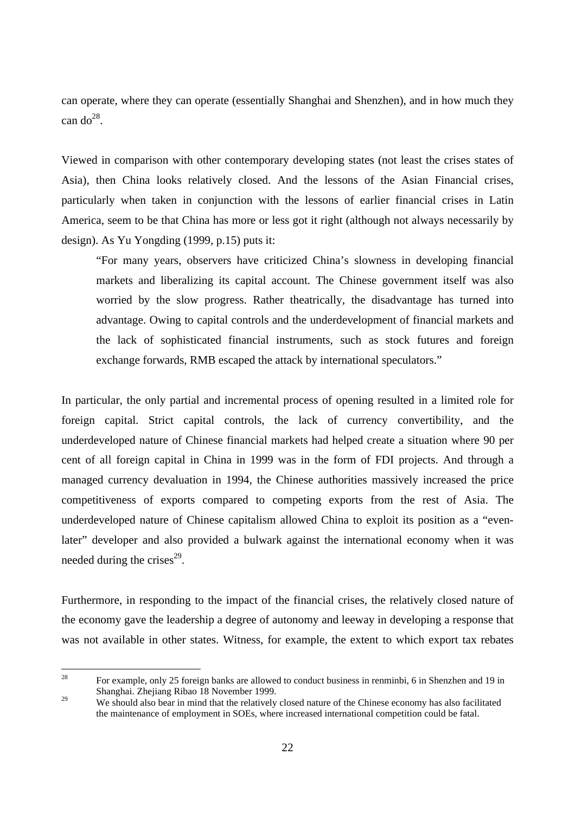can operate, where they can operate (essentially Shanghai and Shenzhen), and in how much they  $\cos$  do<sup>28</sup>.

Viewed in comparison with other contemporary developing states (not least the crises states of Asia), then China looks relatively closed. And the lessons of the Asian Financial crises, particularly when taken in conjunction with the lessons of earlier financial crises in Latin America, seem to be that China has more or less got it right (although not always necessarily by design). As Yu Yongding (1999, p.15) puts it:

"For many years, observers have criticized China's slowness in developing financial markets and liberalizing its capital account. The Chinese government itself was also worried by the slow progress. Rather theatrically, the disadvantage has turned into advantage. Owing to capital controls and the underdevelopment of financial markets and the lack of sophisticated financial instruments, such as stock futures and foreign exchange forwards, RMB escaped the attack by international speculators."

In particular, the only partial and incremental process of opening resulted in a limited role for foreign capital. Strict capital controls, the lack of currency convertibility, and the underdeveloped nature of Chinese financial markets had helped create a situation where 90 per cent of all foreign capital in China in 1999 was in the form of FDI projects. And through a managed currency devaluation in 1994, the Chinese authorities massively increased the price competitiveness of exports compared to competing exports from the rest of Asia. The underdeveloped nature of Chinese capitalism allowed China to exploit its position as a "evenlater" developer and also provided a bulwark against the international economy when it was needed during the crises $^{29}$ .

Furthermore, in responding to the impact of the financial crises, the relatively closed nature of the economy gave the leadership a degree of autonomy and leeway in developing a response that was not available in other states. Witness, for example, the extent to which export tax rebates

<sup>28</sup> <sup>28</sup> For example, only 25 foreign banks are allowed to conduct business in renminbi, 6 in Shenzhen and 19 in Shanghai. Zhejiang Ribao 18 November 1999.

<sup>&</sup>lt;sup>29</sup> We should also bear in mind that the relatively closed nature of the Chinese economy has also facilitated the maintenance of employment in SOEs, where increased international competition could be fatal.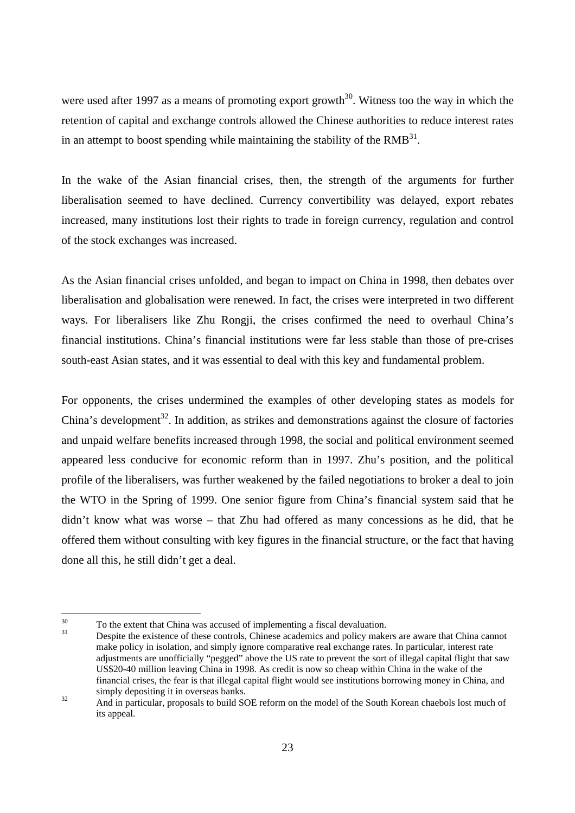were used after 1997 as a means of promoting export growth<sup>30</sup>. Witness too the way in which the retention of capital and exchange controls allowed the Chinese authorities to reduce interest rates in an attempt to boost spending while maintaining the stability of the  $RMB<sup>31</sup>$ .

In the wake of the Asian financial crises, then, the strength of the arguments for further liberalisation seemed to have declined. Currency convertibility was delayed, export rebates increased, many institutions lost their rights to trade in foreign currency, regulation and control of the stock exchanges was increased.

As the Asian financial crises unfolded, and began to impact on China in 1998, then debates over liberalisation and globalisation were renewed. In fact, the crises were interpreted in two different ways. For liberalisers like Zhu Rongji, the crises confirmed the need to overhaul China's financial institutions. China's financial institutions were far less stable than those of pre-crises south-east Asian states, and it was essential to deal with this key and fundamental problem.

For opponents, the crises undermined the examples of other developing states as models for China's development<sup>32</sup>. In addition, as strikes and demonstrations against the closure of factories and unpaid welfare benefits increased through 1998, the social and political environment seemed appeared less conducive for economic reform than in 1997. Zhu's position, and the political profile of the liberalisers, was further weakened by the failed negotiations to broker a deal to join the WTO in the Spring of 1999. One senior figure from China's financial system said that he didn't know what was worse – that Zhu had offered as many concessions as he did, that he offered them without consulting with key figures in the financial structure, or the fact that having done all this, he still didn't get a deal.

 $30<sup>°</sup>$  $30\qquad$  To the extent that China was accused of implementing a fiscal devaluation.

Despite the existence of these controls, Chinese academics and policy makers are aware that China cannot make policy in isolation, and simply ignore comparative real exchange rates. In particular, interest rate adjustments are unofficially "pegged" above the US rate to prevent the sort of illegal capital flight that saw US\$20-40 million leaving China in 1998. As credit is now so cheap within China in the wake of the financial crises, the fear is that illegal capital flight would see institutions borrowing money in China, and simply depositing it in overseas banks.

<sup>&</sup>lt;sup>32</sup> And in particular, proposals to build SOE reform on the model of the South Korean chaebols lost much of its appeal.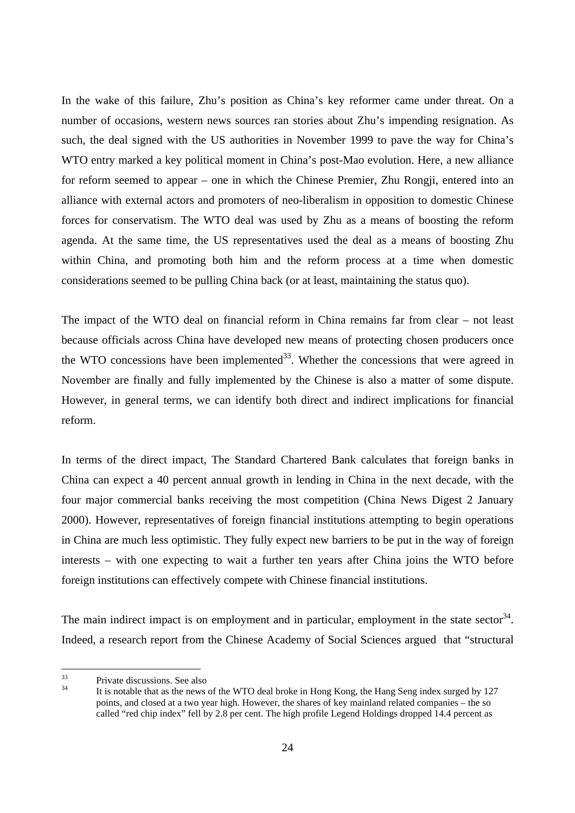In the wake of this failure, Zhu's position as China's key reformer came under threat. On a number of occasions, western news sources ran stories about Zhu's impending resignation. As such, the deal signed with the US authorities in November 1999 to pave the way for China's WTO entry marked a key political moment in China's post-Mao evolution. Here, a new alliance for reform seemed to appear – one in which the Chinese Premier, Zhu Rongji, entered into an alliance with external actors and promoters of neo-liberalism in opposition to domestic Chinese forces for conservatism. The WTO deal was used by Zhu as a means of boosting the reform agenda. At the same time, the US representatives used the deal as a means of boosting Zhu within China, and promoting both him and the reform process at a time when domestic considerations seemed to be pulling China back (or at least, maintaining the status quo).

The impact of the WTO deal on financial reform in China remains far from clear – not least because officials across China have developed new means of protecting chosen producers once the WTO concessions have been implemented<sup>33</sup>. Whether the concessions that were agreed in November are finally and fully implemented by the Chinese is also a matter of some dispute. However, in general terms, we can identify both direct and indirect implications for financial reform.

In terms of the direct impact, The Standard Chartered Bank calculates that foreign banks in China can expect a 40 percent annual growth in lending in China in the next decade, with the four major commercial banks receiving the most competition (China News Digest 2 January 2000). However, representatives of foreign financial institutions attempting to begin operations in China are much less optimistic. They fully expect new barriers to be put in the way of foreign interests – with one expecting to wait a further ten years after China joins the WTO before foreign institutions can effectively compete with Chinese financial institutions.

The main indirect impact is on employment and in particular, employment in the state sector<sup>34</sup>. Indeed, a research report from the Chinese Academy of Social Sciences argued that "structural

<sup>33</sup> <sup>33</sup> Private discussions. See also

<sup>34</sup> It is notable that as the news of the WTO deal broke in Hong Kong, the Hang Seng index surged by 127 points, and closed at a two year high. However, the shares of key mainland related companies – the so called "red chip index" fell by 2.8 per cent. The high profile Legend Holdings dropped 14.4 percent as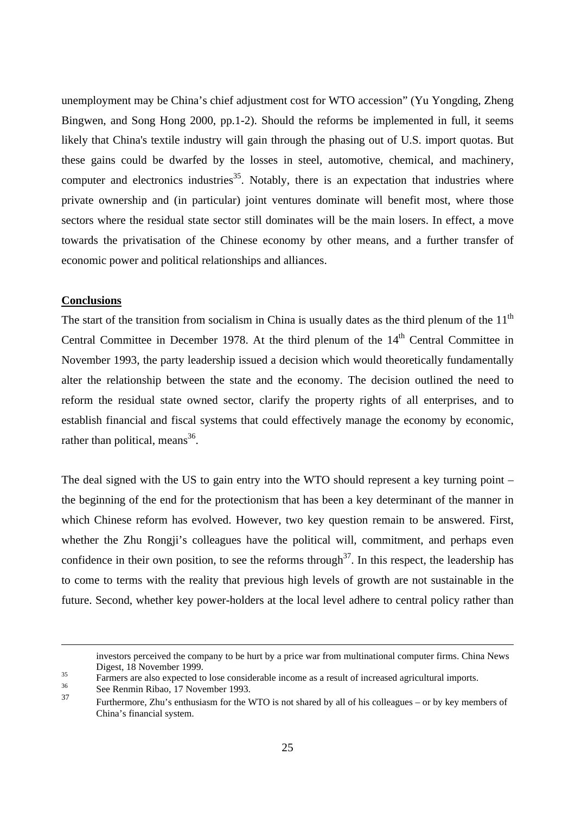unemployment may be China's chief adjustment cost for WTO accession" (Yu Yongding, Zheng Bingwen, and Song Hong 2000, pp.1-2). Should the reforms be implemented in full, it seems likely that China's textile industry will gain through the phasing out of U.S. import quotas. But these gains could be dwarfed by the losses in steel, automotive, chemical, and machinery, computer and electronics industries<sup>35</sup>. Notably, there is an expectation that industries where private ownership and (in particular) joint ventures dominate will benefit most, where those sectors where the residual state sector still dominates will be the main losers. In effect, a move towards the privatisation of the Chinese economy by other means, and a further transfer of economic power and political relationships and alliances.

## **Conclusions**

 $\overline{a}$ 

The start of the transition from socialism in China is usually dates as the third plenum of the  $11<sup>th</sup>$ Central Committee in December 1978. At the third plenum of the 14<sup>th</sup> Central Committee in November 1993, the party leadership issued a decision which would theoretically fundamentally alter the relationship between the state and the economy. The decision outlined the need to reform the residual state owned sector, clarify the property rights of all enterprises, and to establish financial and fiscal systems that could effectively manage the economy by economic, rather than political, means<sup>36</sup>.

The deal signed with the US to gain entry into the WTO should represent a key turning point – the beginning of the end for the protectionism that has been a key determinant of the manner in which Chinese reform has evolved. However, two key question remain to be answered. First, whether the Zhu Rongji's colleagues have the political will, commitment, and perhaps even confidence in their own position, to see the reforms through<sup>37</sup>. In this respect, the leadership has to come to terms with the reality that previous high levels of growth are not sustainable in the future. Second, whether key power-holders at the local level adhere to central policy rather than

investors perceived the company to be hurt by a price war from multinational computer firms. China News Digest, 18 November 1999.

<sup>&</sup>lt;sup>35</sup><br>Farmers are also expected to lose considerable income as a result of increased agricultural imports.

 $\frac{36}{37}$  See Renmin Ribao, 17 November 1993.

Furthermore, Zhu's enthusiasm for the WTO is not shared by all of his colleagues – or by key members of China's financial system.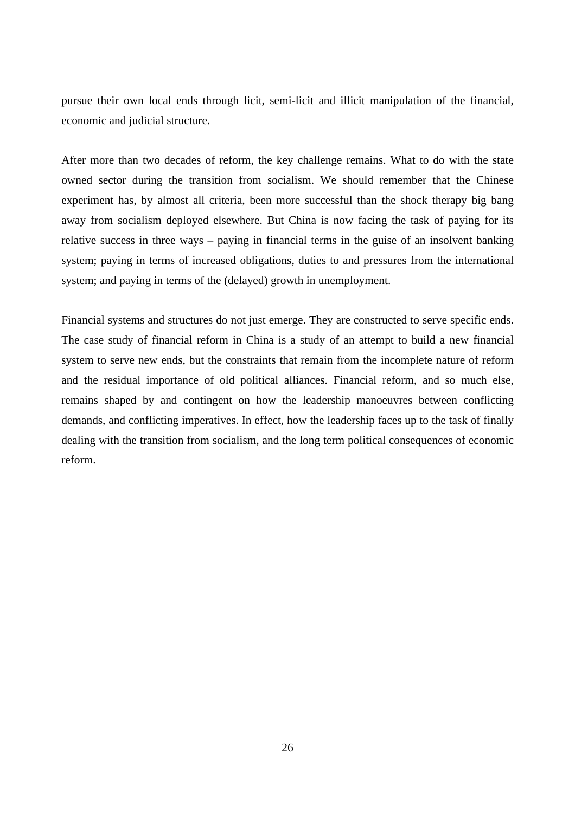pursue their own local ends through licit, semi-licit and illicit manipulation of the financial, economic and judicial structure.

After more than two decades of reform, the key challenge remains. What to do with the state owned sector during the transition from socialism. We should remember that the Chinese experiment has, by almost all criteria, been more successful than the shock therapy big bang away from socialism deployed elsewhere. But China is now facing the task of paying for its relative success in three ways – paying in financial terms in the guise of an insolvent banking system; paying in terms of increased obligations, duties to and pressures from the international system; and paying in terms of the (delayed) growth in unemployment.

Financial systems and structures do not just emerge. They are constructed to serve specific ends. The case study of financial reform in China is a study of an attempt to build a new financial system to serve new ends, but the constraints that remain from the incomplete nature of reform and the residual importance of old political alliances. Financial reform, and so much else, remains shaped by and contingent on how the leadership manoeuvres between conflicting demands, and conflicting imperatives. In effect, how the leadership faces up to the task of finally dealing with the transition from socialism, and the long term political consequences of economic reform.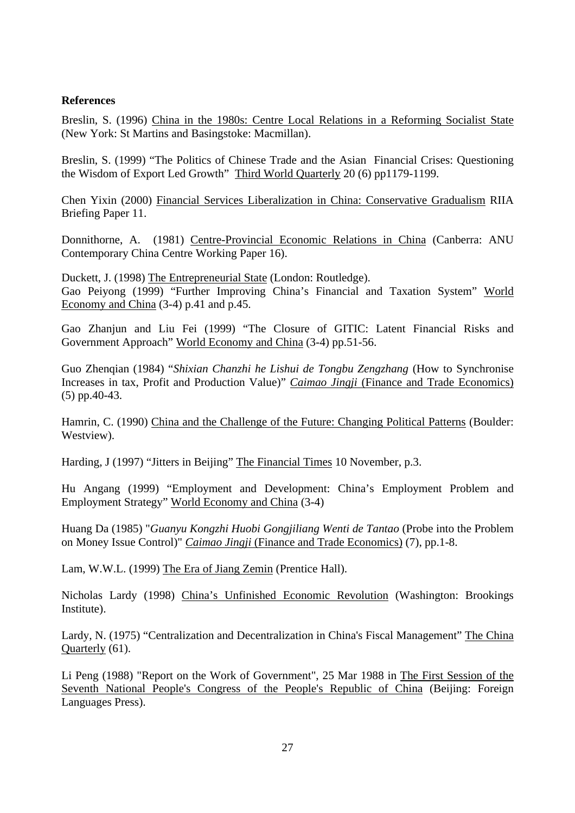## **References**

Breslin, S. (1996) China in the 1980s: Centre Local Relations in a Reforming Socialist State (New York: St Martins and Basingstoke: Macmillan).

Breslin, S. (1999) "The Politics of Chinese Trade and the Asian Financial Crises: Questioning the Wisdom of Export Led Growth" Third World Quarterly 20 (6) pp1179-1199.

Chen Yixin (2000) Financial Services Liberalization in China: Conservative Gradualism RIIA Briefing Paper 11.

Donnithorne, A. (1981) Centre-Provincial Economic Relations in China (Canberra: ANU Contemporary China Centre Working Paper 16).

Duckett, J. (1998) The Entrepreneurial State (London: Routledge). Gao Peiyong (1999) "Further Improving China's Financial and Taxation System" World Economy and China (3-4) p.41 and p.45.

Gao Zhanjun and Liu Fei (1999) "The Closure of GITIC: Latent Financial Risks and Government Approach" World Economy and China (3-4) pp.51-56.

Guo Zhenqian (1984) "*Shixian Chanzhi he Lishui de Tongbu Zengzhang* (How to Synchronise Increases in tax, Profit and Production Value)" *Caimao Jingji* (Finance and Trade Economics) (5) pp.40-43.

Hamrin, C. (1990) China and the Challenge of the Future: Changing Political Patterns (Boulder: Westview).

Harding, J (1997) "Jitters in Beijing" The Financial Times 10 November, p.3.

Hu Angang (1999) "Employment and Development: China's Employment Problem and Employment Strategy" World Economy and China (3-4)

Huang Da (1985) "*Guanyu Kongzhi Huobi Gongjiliang Wenti de Tantao* (Probe into the Problem on Money Issue Control)" *Caimao Jingji* (Finance and Trade Economics) (7), pp.1-8.

Lam, W.W.L. (1999) The Era of Jiang Zemin (Prentice Hall).

Nicholas Lardy (1998) China's Unfinished Economic Revolution (Washington: Brookings Institute).

Lardy, N. (1975) "Centralization and Decentralization in China's Fiscal Management" The China Quarterly (61).

Li Peng (1988) "Report on the Work of Government", 25 Mar 1988 in The First Session of the Seventh National People's Congress of the People's Republic of China (Beijing: Foreign Languages Press).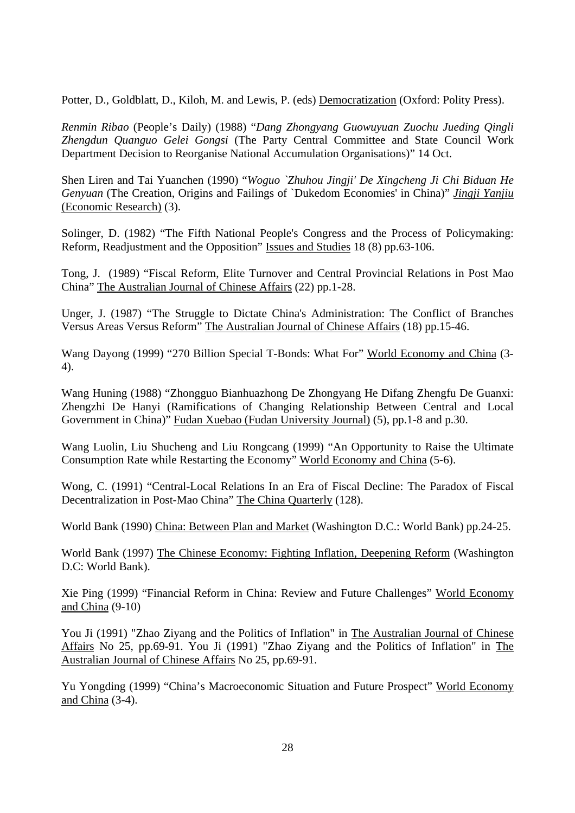Potter, D., Goldblatt, D., Kiloh, M. and Lewis, P. (eds) Democratization (Oxford: Polity Press).

*Renmin Ribao* (People's Daily) (1988) "*Dang Zhongyang Guowuyuan Zuochu Jueding Qingli Zhengdun Quanguo Gelei Gongsi* (The Party Central Committee and State Council Work Department Decision to Reorganise National Accumulation Organisations)" 14 Oct.

Shen Liren and Tai Yuanchen (1990) "*Woguo `Zhuhou Jingji' De Xingcheng Ji Chi Biduan He Genyuan* (The Creation, Origins and Failings of `Dukedom Economies' in China)" *Jingji Yanjiu* (Economic Research) (3).

Solinger, D. (1982) "The Fifth National People's Congress and the Process of Policymaking: Reform, Readjustment and the Opposition" Issues and Studies 18 (8) pp.63-106.

Tong, J. (1989) "Fiscal Reform, Elite Turnover and Central Provincial Relations in Post Mao China" The Australian Journal of Chinese Affairs (22) pp.1-28.

Unger, J. (1987) "The Struggle to Dictate China's Administration: The Conflict of Branches Versus Areas Versus Reform" The Australian Journal of Chinese Affairs (18) pp.15-46.

Wang Dayong (1999) "270 Billion Special T-Bonds: What For" World Economy and China (3- 4).

Wang Huning (1988) "Zhongguo Bianhuazhong De Zhongyang He Difang Zhengfu De Guanxi: Zhengzhi De Hanyi (Ramifications of Changing Relationship Between Central and Local Government in China)" Fudan Xuebao (Fudan University Journal) (5), pp.1-8 and p.30.

Wang Luolin, Liu Shucheng and Liu Rongcang (1999) "An Opportunity to Raise the Ultimate Consumption Rate while Restarting the Economy" World Economy and China (5-6).

Wong, C. (1991) "Central-Local Relations In an Era of Fiscal Decline: The Paradox of Fiscal Decentralization in Post-Mao China" The China Quarterly (128).

World Bank (1990) China: Between Plan and Market (Washington D.C.: World Bank) pp.24-25.

World Bank (1997) The Chinese Economy: Fighting Inflation, Deepening Reform (Washington D.C: World Bank).

Xie Ping (1999) "Financial Reform in China: Review and Future Challenges" World Economy and China (9-10)

You Ji (1991) "Zhao Ziyang and the Politics of Inflation" in The Australian Journal of Chinese Affairs No 25, pp.69-91. You Ji (1991) "Zhao Ziyang and the Politics of Inflation" in The Australian Journal of Chinese Affairs No 25, pp.69-91.

Yu Yongding (1999) "China's Macroeconomic Situation and Future Prospect" World Economy and China (3-4).